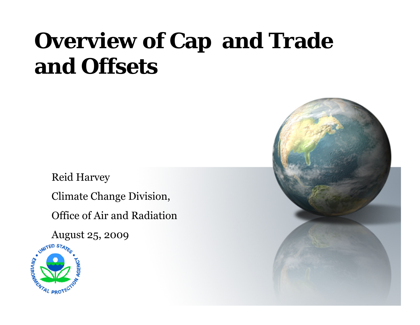# **Overview of Cap and Trade and Offsets**

Reid Harvey

Climate Change Division,

Office of Air and Radiation



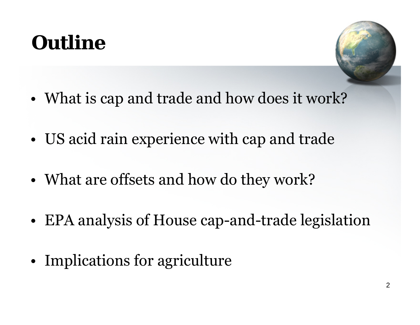## **Outline**



- What is cap and trade and how does it work?
- US acid rain experience with cap and trade
- What are offsets and how do they work?
- EPA analysis of House cap-and-trade legislation
- Implications for agriculture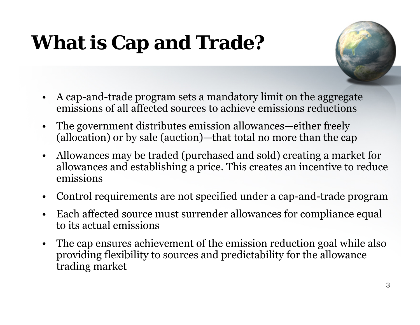# **What is Cap and Trade?**



- $\bullet$  A cap-and-trade program sets a mandatory limit on the aggregate emissions of all affected sources to achieve emissions reductions
- $\bullet$  The government distributes emission allowances—either freely (allocation) or by sale (auction)—that total no more than the cap
- $\bullet$  Allowances may be traded (purchased and sold) creating a market for allowances and establishing a price. This creates an incentive to reduce emissions
- $\bullet$  Control requirements are not specified under a cap-and-trade program
- $\bullet$  Each affected source must surrender allowances for compliance equal to its actual emissions
- $\bullet$  The cap ensures achievement of the emission reduction goal while also providing flexibility to sources and predictability for the allowance trading market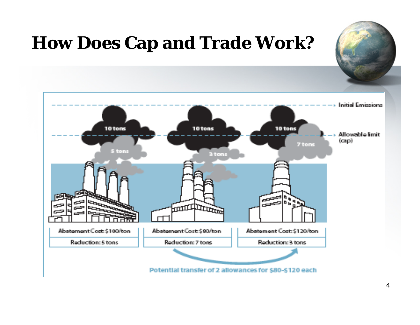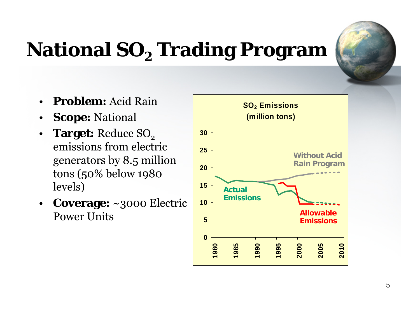

## **National SO<sub>2</sub> Trading Program**

- • **Problem:** Acid Rain
- $\bullet$  **Scope:** National
- $\bullet$ **Target:** Reduce SO<sub>2</sub> emissions from electric generators by 8.5 million tons (50% below 1980 levels)
- $\bullet$  **Coverage:** ~3000 Electric Power Units

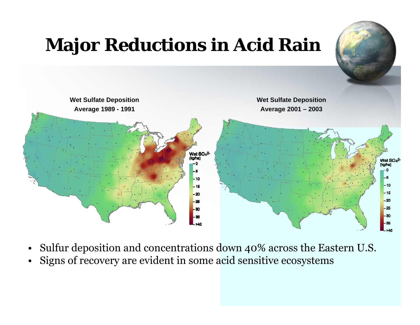

- Sulfur deposition and concentrations down 40% across the Eastern U.S.
- Signs of recovery are evident in some acid sensitive ecosystems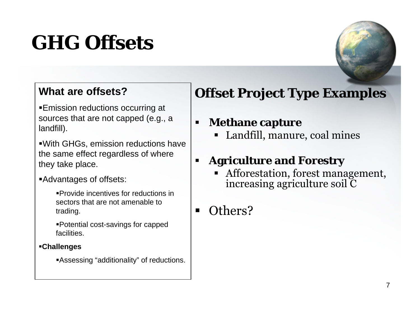## **GHG Offsets**



#### **What are offsets?**

Emission reductions occurring at sources that are not capped (e.g., a landfill).

With GHGs, emission reductions have the same effect regardless of where they take place.

#### Advantages of offsets:

Provide incentives for reductions in sectors that are not amenable to trading.

Potential cost-savings for capped facilities.

#### **Challenges**

Assessing "additionality" of reductions.

#### **Offset Project Type Examples**

#### п **Methane capture**

Landfill, manure, coal mines

#### **Agriculture and Forestry**

Afforestation, forest management, increasing agriculture soil C

#### $\blacksquare$ Others?

п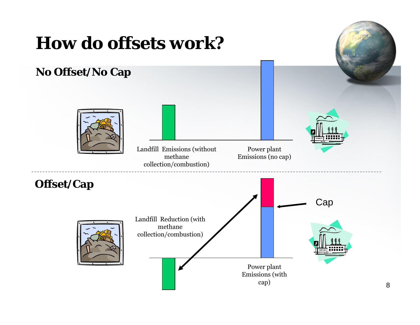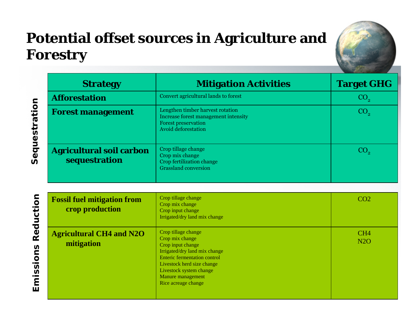#### **Potential offset sources in Agriculture and Forestry**



| <b>Strategy</b>                                  | <b>Mitigation Activities</b>                                                                                                         | <b>Target GHG</b> |
|--------------------------------------------------|--------------------------------------------------------------------------------------------------------------------------------------|-------------------|
| <b>Afforestation</b>                             | Convert agricultural lands to forest                                                                                                 | CO <sub>2</sub>   |
| <b>Forest management</b>                         | Lengthen timber harvest rotation<br>Increase forest management intensity<br><b>Forest preservation</b><br><b>Avoid deforestation</b> | CO <sub>2</sub>   |
| <b>Agricultural soil carbon</b><br>sequestration | Crop tillage change<br>Crop mix change<br>Crop fertilization change<br><b>Grassland conversion</b>                                   |                   |

| iction<br>Red<br>SU<br>$\overline{\mathsf{c}}$<br>$\overline{w}$<br>$\mathbf{2}$<br>ш | <b>Fossil fuel mitigation from</b><br>crop production | Crop tillage change<br>Crop mix change<br>Crop input change<br>Irrigated/dry land mix change                                                                                                                                             | CO <sub>2</sub>               |
|---------------------------------------------------------------------------------------|-------------------------------------------------------|------------------------------------------------------------------------------------------------------------------------------------------------------------------------------------------------------------------------------------------|-------------------------------|
|                                                                                       | <b>Agricultural CH4 and N2O</b><br>mitigation         | Crop tillage change<br>Crop mix change<br>Crop input change<br>Irrigated/dry land mix change<br><b>Enteric fermentation control</b><br>Livestock herd size change<br>Livestock system change<br>Manure management<br>Rice acreage change | CH <sub>4</sub><br><b>N2O</b> |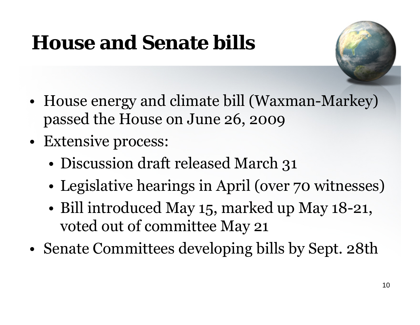# **House and Senate bills**



- House energy and climate bill (Waxman-Markey) passed the House on June 26, 2009
- Extensive process:
	- Discussion draft released March 31
	- Legislative hearings in April (over 70 witnesses)
	- Bill introduced May 15, marked up May 18-21, voted out of committee May 21
- Senate Committees developing bills by Sept. 28th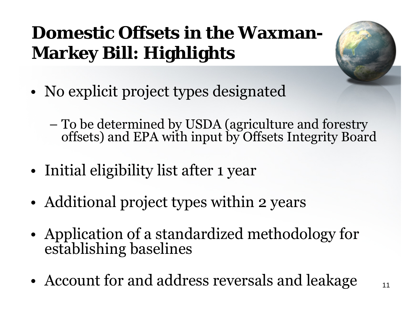### **Domestic Offsets in the Waxman-Markey Bill: Highlights**



- No explicit project types designated
	- To be determined by USDA (agriculture and forestry offsets) and EPA with input by Offsets Integrity Board
- Initial eligibility list after 1 year
- Additional project types within 2 years
- Application of a standardized methodology for establishing baselines
- Account for and address reversals and leakage  $_{11}$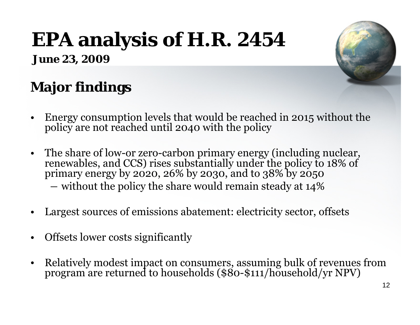# **EPA analysis of H.R. 2454**

**June 23, 2009** 

### **Major findings**

- • Energy consumption levels that would be reached in 2015 without the policy are not reached until 2040 with the policy
- • The share of low-or zero-carbon primary energy (including nuclear, renewables, and CCS) rises substantially under the policy to 18% of primary energy by 2020, 26% by 2030, and to 38% by 2050 without the policy the share would remain steady at 14%
- $\bullet$  Largest sources of emissions abatement: electricity sector, offsets
- • Offsets lower costs significantly
- $\bullet$  Relatively modest impact on consumers, assuming bulk of revenues from program are returned to households (\$80-\$111/household/yr NPV)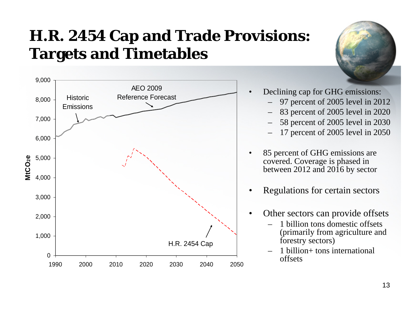#### **H.R. 2454 Cap and Trade Provisions: Targets and Timetables**



- Declining cap for GHG emissions:
	- 97 percent of 2005 level in 2012
	- 83 percent of 2005 level in 2020
	- 58 percent of 2005 level in 2030
	- 17 percent of 2005 level in 2050
- 85 percent of GHG emissions are covered. Coverage is phased in between 2012 and 2016 by sector •
- Regulations for certain sectors •
- Other sectors can provide offsets •
	- 1 billion tons domestic offsets (primarily from agriculture and forestry sectors)
	- 1 billion+ tons international offsets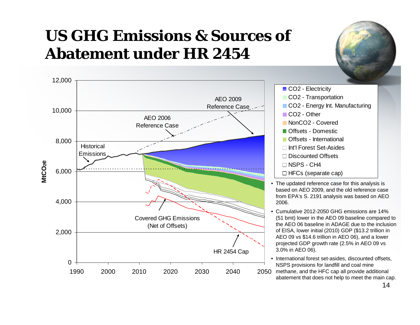#### **US GHG Emissions & Sources of Abatement under HR 2454**  $\sim$  100  $\mu$





- CO<sub>2</sub> Electricity
- CO<sub>2</sub> Transportation
- CO2 Energy Int. Manufacturing
- CO<sub>2</sub> Other
- **NonCO<sub>2</sub>** Covered
- **Z** Offsets Domestic
- **N** Offsets International
- Int'l Forest Set-Asides
- $\Box$  Discounted Offsets
- □ NSPS CH4
- $\Box$  HFCs (separate cap)
- The updated reference case for this analysis is based on AEO 2009, and the old reference case from EPA's S. 2191 analysis was based on AEO 2006.
- Cumulative 2012-2050 GHG emissions are 14% (51 bmt) lower in the AEO 09 baseline compared to the AEO 06 baseline in ADAGE due to the inclusion of EISA, lower initial (2010) GDP (\$13.2 trillion in AEO 09 vs \$14.6 trillion in AEO 06), and a lower projected GDP growth rate (2.5% in AEO 09 vs 3.0% in AEO 06).
- <sup>2050</sup> methane, and the HFC cap all provide additional • International forest set-asides, discounted offsets, NSPS provisions for landfill and coal mine abatement that does not help to meet the main cap.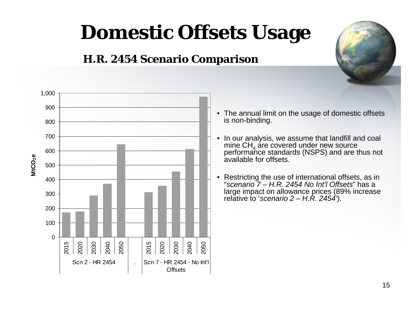## **Domestic Offsets Usage**

#### **H.R. 2454 Scenario Comparison**



- The annual limit on the usage of domestic offsets is non-binding.
- In our analysis, we assume that landfill and coal mine  $CH<sub>4</sub>$  are covered under new source performance standards (NSPS) and are thus not available for offsets. •
- Restricting the use of international offsets, as in "*scenario 7 – H.R. 2454 No Int'l Offsets*" has a large impact on allowance prices (89% increase relative to '*scenario 2 – H.R. 2454'*). •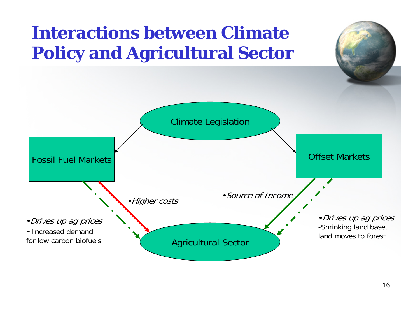### **Interactions between Climate Policy and Agricultural Sector**

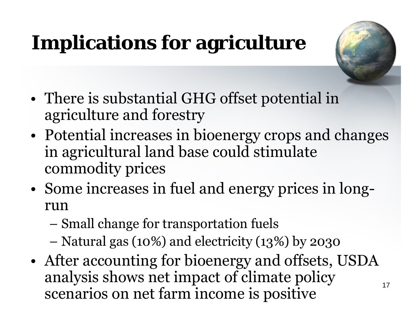# **Implications for agriculture**



- There is substantial GHG offset potential in agriculture and forestry
- Potential increases in bioenergy crops and changes in agricultural land base could stimulate commodity prices
- Some increases in fuel and energy prices in longrun
	- Small change for transportation fuels
	- Natural gas (10%) and electricity (13%) by 2030
- After accounting for bioenergy and offsets, USDA analysis shows net impact of climate policy scenarios on net farm income is positive